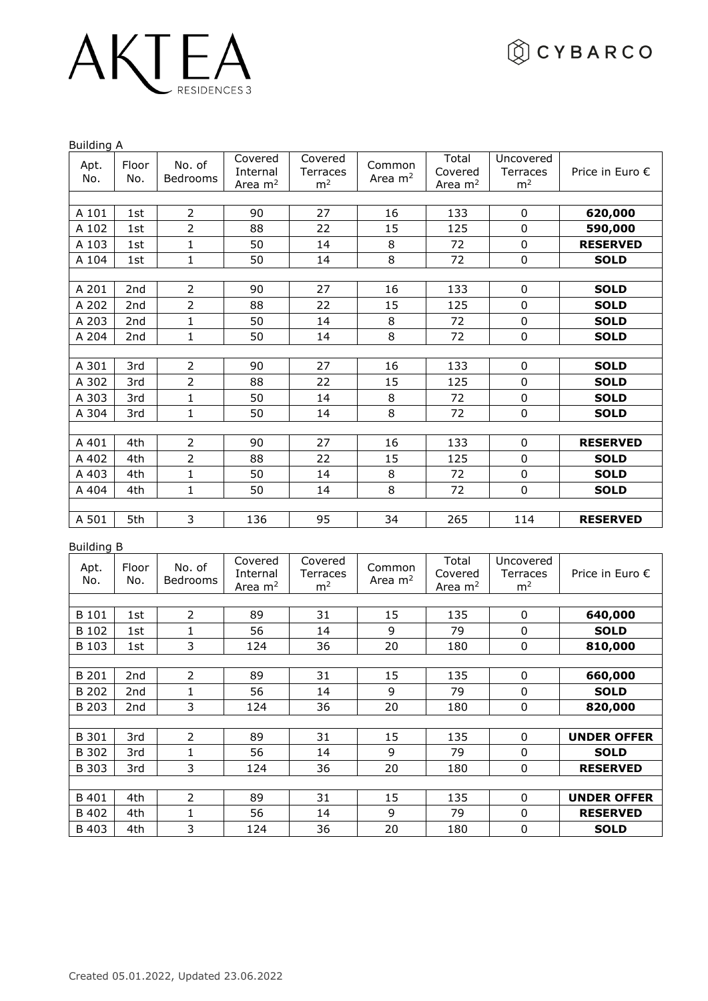# AKTEA

Building A

|             | ounum y A       |                    |                                  |                                              |                     |                               |                                                |                 |  |  |  |  |
|-------------|-----------------|--------------------|----------------------------------|----------------------------------------------|---------------------|-------------------------------|------------------------------------------------|-----------------|--|--|--|--|
| Apt.<br>No. | Floor<br>No.    | No. of<br>Bedrooms | Covered<br>Internal<br>Area $m2$ | Covered<br><b>Terraces</b><br>m <sup>2</sup> | Common<br>Area $m2$ | Total<br>Covered<br>Area $m2$ | Uncovered<br><b>Terraces</b><br>m <sup>2</sup> | Price in Euro € |  |  |  |  |
|             |                 |                    |                                  |                                              |                     |                               |                                                |                 |  |  |  |  |
| A 101       | 1st             | $\overline{2}$     | 90                               | 27                                           | 16                  | 133                           | 0                                              | 620,000         |  |  |  |  |
| A 102       | 1st             | $\overline{2}$     | 88                               | 22                                           | 15                  | 125                           | $\boldsymbol{0}$                               | 590,000         |  |  |  |  |
| A 103       | 1st             | $\mathbf{1}$       | 50                               | 14                                           | 8                   | 72                            | $\mathbf 0$                                    | <b>RESERVED</b> |  |  |  |  |
| A 104       | 1st             | $\mathbf{1}$       | 50                               | 14                                           | 8                   | 72                            | $\mathbf 0$                                    | <b>SOLD</b>     |  |  |  |  |
|             |                 |                    |                                  |                                              |                     |                               |                                                |                 |  |  |  |  |
| A 201       | 2nd             | $\overline{2}$     | 90                               | 27                                           | 16                  | 133                           | 0                                              | <b>SOLD</b>     |  |  |  |  |
| A 202       | 2 <sub>nd</sub> | $\overline{2}$     | 88                               | 22                                           | 15                  | 125                           | $\mathbf 0$                                    | <b>SOLD</b>     |  |  |  |  |
| A 203       | 2nd             | $\mathbf{1}$       | 50                               | 14                                           | 8                   | 72                            | $\pmb{0}$                                      | <b>SOLD</b>     |  |  |  |  |
| A 204       | 2 <sub>nd</sub> | 1                  | 50                               | 14                                           | 8                   | 72                            | $\mathbf 0$                                    | <b>SOLD</b>     |  |  |  |  |
|             |                 |                    |                                  |                                              |                     |                               |                                                |                 |  |  |  |  |
| A 301       | 3rd             | $\overline{2}$     | 90                               | 27                                           | 16                  | 133                           | $\mathbf 0$                                    | <b>SOLD</b>     |  |  |  |  |
| A 302       | 3rd             | $\overline{2}$     | 88                               | 22                                           | 15                  | 125                           | $\mathbf 0$                                    | <b>SOLD</b>     |  |  |  |  |
| A 303       | 3rd             | $\mathbf{1}$       | 50                               | 14                                           | 8                   | 72                            | $\mathbf 0$                                    | <b>SOLD</b>     |  |  |  |  |
| A 304       | 3rd             | $\mathbf{1}$       | 50                               | 14                                           | 8                   | 72                            | $\mathbf 0$                                    | <b>SOLD</b>     |  |  |  |  |
|             |                 |                    |                                  |                                              |                     |                               |                                                |                 |  |  |  |  |
| A 401       | 4th             | $\overline{2}$     | 90                               | 27                                           | 16                  | 133                           | 0                                              | <b>RESERVED</b> |  |  |  |  |
| A 402       | 4th             | $\overline{2}$     | 88                               | 22                                           | 15                  | 125                           | $\mathbf 0$                                    | <b>SOLD</b>     |  |  |  |  |
| A 403       | 4th             | $\mathbf{1}$       | 50                               | 14                                           | 8                   | 72                            | $\mathbf 0$                                    | <b>SOLD</b>     |  |  |  |  |
| A 404       | 4th             | $\mathbf{1}$       | 50                               | 14                                           | 8                   | 72                            | 0                                              | <b>SOLD</b>     |  |  |  |  |
|             |                 |                    |                                  |                                              |                     |                               |                                                |                 |  |  |  |  |
| A 501       | 5th             | 3                  | 136                              | 95                                           | 34                  | 265                           | 114                                            | <b>RESERVED</b> |  |  |  |  |

Building B

| Apt.<br>No. | Floor<br>No. | No. of<br><b>Bedrooms</b> | Covered<br>Internal<br>Area $m2$ | Covered<br>Terraces<br>m <sup>2</sup> | Common<br>Area $m2$ | Total<br>Covered<br>Area $m2$ | Uncovered<br>Terraces<br>m <sup>2</sup> | Price in Euro $\epsilon$ |  |  |  |
|-------------|--------------|---------------------------|----------------------------------|---------------------------------------|---------------------|-------------------------------|-----------------------------------------|--------------------------|--|--|--|
|             |              |                           |                                  |                                       |                     |                               |                                         |                          |  |  |  |
| B 101       | 1st          | 2                         | 89                               | 31                                    | 15                  | 135                           | 0                                       | 640,000                  |  |  |  |
| B 102       | 1st          | 1                         | 56                               | 14                                    | 9                   | 79                            | $\Omega$                                | <b>SOLD</b>              |  |  |  |
| B 103       | 1st          | 3                         | 124                              | 36                                    | 20                  | 180                           | 0                                       | 810,000                  |  |  |  |
|             |              |                           |                                  |                                       |                     |                               |                                         |                          |  |  |  |
| B 201       | 2nd          | $\overline{2}$            | 89                               | 31                                    | 15                  | 135                           | 0                                       | 660,000                  |  |  |  |
| B 202       | 2nd          | 1                         | 56                               | 14                                    | 9                   | 79                            | $\Omega$                                | <b>SOLD</b>              |  |  |  |
| B 203       | 2nd          | 3                         | 124                              | 36                                    | 20                  | 180                           | 0                                       | 820,000                  |  |  |  |
|             |              |                           |                                  |                                       |                     |                               |                                         |                          |  |  |  |
| B 301       | 3rd          | $\overline{2}$            | 89                               | 31                                    | 15                  | 135                           | $\Omega$                                | <b>UNDER OFFER</b>       |  |  |  |
| B 302       | 3rd          | 1                         | 56                               | 14                                    | 9                   | 79                            | $\Omega$                                | <b>SOLD</b>              |  |  |  |
| B 303       | 3rd          | 3                         | 124                              | 36                                    | 20                  | 180                           | 0                                       | <b>RESERVED</b>          |  |  |  |
|             |              |                           |                                  |                                       |                     |                               |                                         |                          |  |  |  |
| B 401       | 4th          | $\overline{2}$            | 89                               | 31                                    | 15                  | 135                           | $\Omega$                                | <b>UNDER OFFER</b>       |  |  |  |
| B 402       | 4th          |                           | 56                               | 14                                    | 9                   | 79                            | 0                                       | <b>RESERVED</b>          |  |  |  |
| B 403       | 4th          | 3                         | 124                              | 36                                    | 20                  | 180                           | 0                                       | <b>SOLD</b>              |  |  |  |